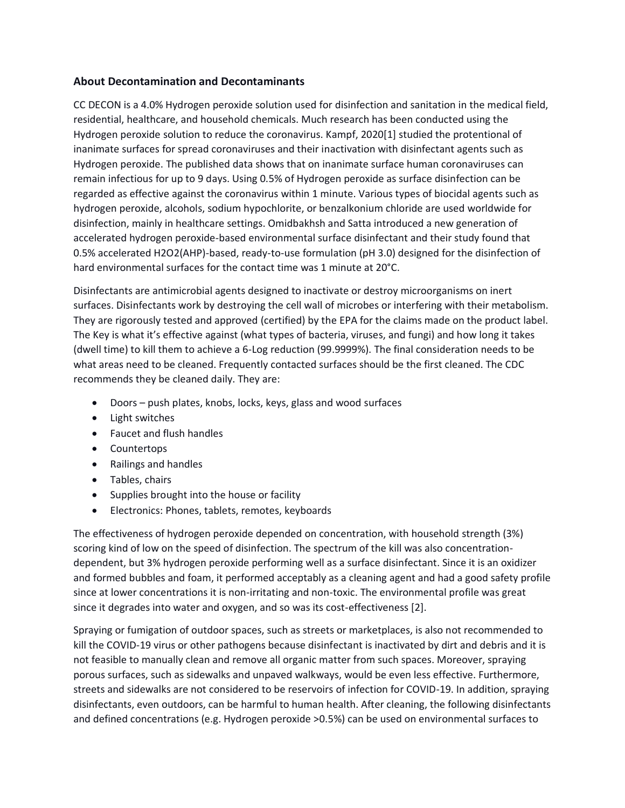# **About Decontamination and Decontaminants**

CC DECON is a 4.0% Hydrogen peroxide solution used for disinfection and sanitation in the medical field, residential, healthcare, and household chemicals. Much research has been conducted using the Hydrogen peroxide solution to reduce the coronavirus. Kampf, 2020[1] studied the protentional of inanimate surfaces for spread coronaviruses and their inactivation with disinfectant agents such as Hydrogen peroxide. The published data shows that on inanimate surface human coronaviruses can remain infectious for up to 9 days. Using 0.5% of Hydrogen peroxide as surface disinfection can be regarded as effective against the coronavirus within 1 minute. Various types of biocidal agents such as hydrogen peroxide, alcohols, sodium hypochlorite, or benzalkonium chloride are used worldwide for disinfection, mainly in healthcare settings. Omidbakhsh and Satta introduced a new generation of accelerated hydrogen peroxide-based environmental surface disinfectant and their study found that 0.5% accelerated H2O2(AHP)-based, ready-to-use formulation (pH 3.0) designed for the disinfection of hard environmental surfaces for the contact time was 1 minute at 20°C.

Disinfectants are antimicrobial agents designed to inactivate or destroy microorganisms on inert surfaces. Disinfectants work by destroying the cell wall of microbes or interfering with their metabolism. They are rigorously tested and approved (certified) by the EPA for the claims made on the product label. The Key is what it's effective against (what types of bacteria, viruses, and fungi) and how long it takes (dwell time) to kill them to achieve a 6-Log reduction (99.9999%). The final consideration needs to be what areas need to be cleaned. Frequently contacted surfaces should be the first cleaned. The CDC recommends they be cleaned daily. They are:

- Doors push plates, knobs, locks, keys, glass and wood surfaces
- Light switches
- Faucet and flush handles
- Countertops
- Railings and handles
- Tables, chairs
- Supplies brought into the house or facility
- Electronics: Phones, tablets, remotes, keyboards

The effectiveness of hydrogen peroxide depended on concentration, with household strength (3%) scoring kind of low on the speed of disinfection. The spectrum of the kill was also concentrationdependent, but 3% hydrogen peroxide performing well as a surface disinfectant. Since it is an oxidizer and formed bubbles and foam, it performed acceptably as a cleaning agent and had a good safety profile since at lower concentrations it is non-irritating and non-toxic. The environmental profile was great since it degrades into water and oxygen, and so was its cost-effectiveness [2].

Spraying or fumigation of outdoor spaces, such as streets or marketplaces, is also not recommended to kill the COVID-19 virus or other pathogens because disinfectant is inactivated by dirt and debris and it is not feasible to manually clean and remove all organic matter from such spaces. Moreover, spraying porous surfaces, such as sidewalks and unpaved walkways, would be even less effective. Furthermore, streets and sidewalks are not considered to be reservoirs of infection for COVID-19. In addition, spraying disinfectants, even outdoors, can be harmful to human health. After cleaning, the following disinfectants and defined concentrations (e.g. Hydrogen peroxide >0.5%) can be used on environmental surfaces to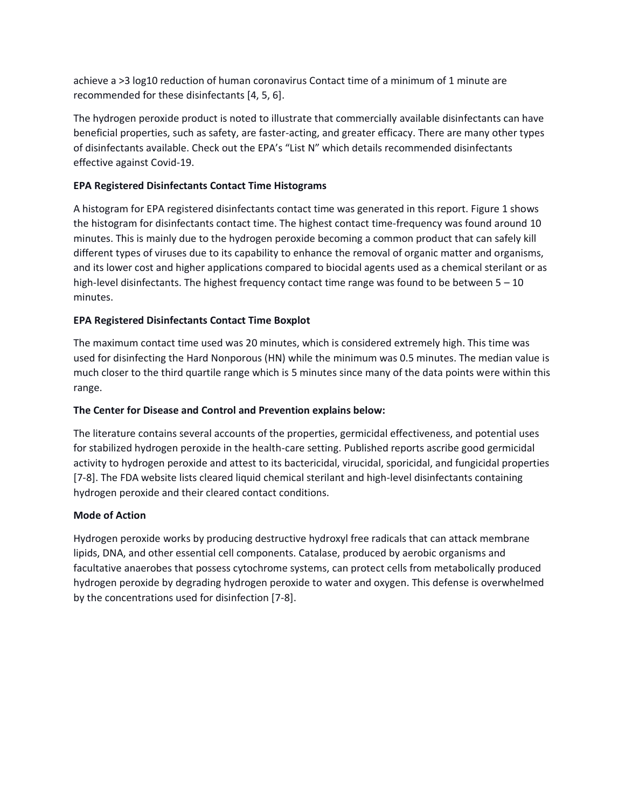achieve a >3 log10 reduction of human coronavirus Contact time of a minimum of 1 minute are recommended for these disinfectants [4, 5, 6].

The hydrogen peroxide product is noted to illustrate that commercially available disinfectants can have beneficial properties, such as safety, are faster-acting, and greater efficacy. There are many other types of disinfectants available. Check out the EPA's "List N" which details recommended disinfectants effective against Covid-19.

# **EPA Registered Disinfectants Contact Time Histograms**

A histogram for EPA registered disinfectants contact time was generated in this report. Figure 1 shows the histogram for disinfectants contact time. The highest contact time-frequency was found around 10 minutes. This is mainly due to the hydrogen peroxide becoming a common product that can safely kill different types of viruses due to its capability to enhance the removal of organic matter and organisms, and its lower cost and higher applications compared to biocidal agents used as a chemical sterilant or as high-level disinfectants. The highest frequency contact time range was found to be between  $5 - 10$ minutes.

### **EPA Registered Disinfectants Contact Time Boxplot**

The maximum contact time used was 20 minutes, which is considered extremely high. This time was used for disinfecting the Hard Nonporous (HN) while the minimum was 0.5 minutes. The median value is much closer to the third quartile range which is 5 minutes since many of the data points were within this range.

### **The Center for Disease and Control and Prevention explains below:**

The literature contains several accounts of the properties, germicidal effectiveness, and potential uses for stabilized hydrogen peroxide in the health-care setting. Published reports ascribe good germicidal activity to hydrogen peroxide and attest to its bactericidal, virucidal, sporicidal, and fungicidal properties [7-8]. The FDA website lists cleared liquid chemical sterilant and high-level disinfectants containing hydrogen peroxide and their cleared contact conditions.

### **Mode of Action**

Hydrogen peroxide works by producing destructive hydroxyl free radicals that can attack membrane lipids, DNA, and other essential cell components. Catalase, produced by aerobic organisms and facultative anaerobes that possess cytochrome systems, can protect cells from metabolically produced hydrogen peroxide by degrading hydrogen peroxide to water and oxygen. This defense is overwhelmed by the concentrations used for disinfection [7-8].